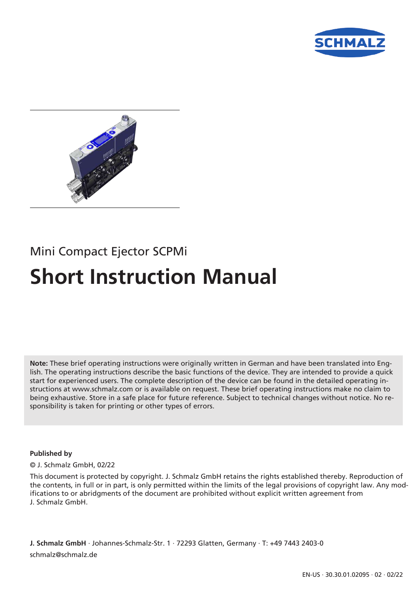



# Mini Compact Ejector SCPMi **Short Instruction Manual**

**Note:** These brief operating instructions were originally written in German and have been translated into English. The operating instructions describe the basic functions of the device. They are intended to provide a quick start for experienced users. The complete description of the device can be found in the detailed operating instructions at www.schmalz.com or is available on request. These brief operating instructions make no claim to being exhaustive. Store in a safe place for future reference. Subject to technical changes without notice. No responsibility is taken for printing or other types of errors.

#### **Published by**

#### © J. Schmalz GmbH, 02/22

This document is protected by copyright. J. Schmalz GmbH retains the rights established thereby. Reproduction of the contents, in full or in part, is only permitted within the limits of the legal provisions of copyright law. Any modifications to or abridgments of the document are prohibited without explicit written agreement from J. Schmalz GmbH.

**J. Schmalz GmbH** · Johannes-Schmalz-Str. 1 · 72293 Glatten, Germany · T: +49 7443 2403-0 schmalz@schmalz.de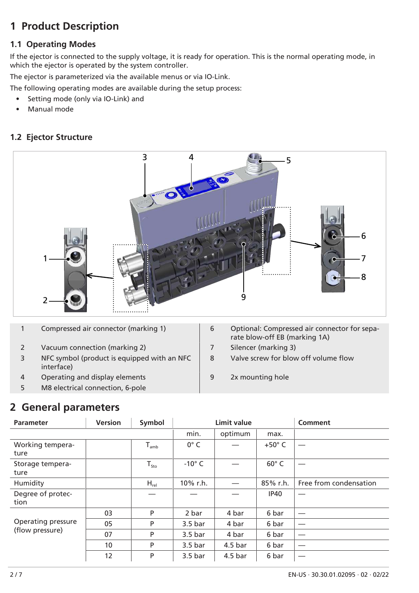# **1 Product Description**

#### **1.1 Operating Modes**

If the ejector is connected to the supply voltage, it is ready for operation. This is the normal operating mode, in which the ejector is operated by the system controller.

The ejector is parameterized via the available menus or via IO-Link.

The following operating modes are available during the setup process:

- Setting mode (only via IO-Link) and
- Manual mode

#### **1.2 Ejector Structure**



- 
- 2 Vacuum connection (marking 2) 7 Silencer (marking 3)
- 3 NFC symbol (product is equipped with an NFC interface)
- 4 Operating and display elements 19 2x mounting hole
- 5 M8 electrical connection, 6-pole
- 1 Compressed air connector (marking 1)  $\vert$  6 Optional: Compressed air connector for separate blow-off EB (marking 1A)
	-
	- 8 Valve screw for blow off volume flow
	-

# **2 General parameters**

| <b>Parameter</b>                      | <b>Version</b> | Symbol                      | <b>Limit value</b> |                    |                 | Comment                |
|---------------------------------------|----------------|-----------------------------|--------------------|--------------------|-----------------|------------------------|
|                                       |                |                             | min.               | optimum            | max.            |                        |
| Working tempera-<br>ture              |                | $T_{amb}$                   | $0^\circ$ C        |                    | $+50^{\circ}$ C |                        |
| Storage tempera-<br>ture              |                | $\mathsf{T}_{\mathsf{sto}}$ | $-10^{\circ}$ C    |                    | $60^\circ$ C    |                        |
| Humidity                              |                | $H_{rel}$                   | 10% r.h.           |                    | 85% r.h.        | Free from condensation |
| Degree of protec-<br>tion             |                |                             |                    |                    | <b>IP40</b>     |                        |
| Operating pressure<br>(flow pressure) | 03             | P                           | 2 bar              | 4 bar              | 6 bar           |                        |
|                                       | 05             | P                           | 3.5 <sub>bar</sub> | 4 bar              | 6 bar           |                        |
|                                       | 07             | P                           | 3.5 <sub>bar</sub> | 4 bar              | 6 bar           |                        |
|                                       | 10             | P                           | 3.5 <sub>bar</sub> | 4.5 <sub>bar</sub> | 6 bar           |                        |
|                                       | 12             | P                           | 3.5 <sub>bar</sub> | 4.5 <sub>bar</sub> | 6 bar           |                        |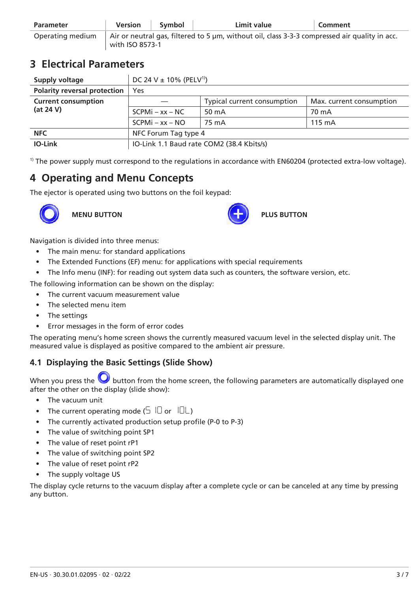| <b>Parameter</b> | Version                                                                                                                  | Symbol | Limit value | Comment |
|------------------|--------------------------------------------------------------------------------------------------------------------------|--------|-------------|---------|
| Operating medium | $\vert$ Air or neutral gas, filtered to 5 µm, without oil, class 3-3-3 compressed air quality in acc.<br>with ISO 8573-1 |        |             |         |

# **3 Electrical Parameters**

| Supply voltage                      | DC 24 V $\pm$ 10% (PELV <sup>1)</sup> )   |                             |                          |  |
|-------------------------------------|-------------------------------------------|-----------------------------|--------------------------|--|
| <b>Polarity reversal protection</b> | Yes                                       |                             |                          |  |
| <b>Current consumption</b>          |                                           | Typical current consumption | Max. current consumption |  |
| (at 24 V)                           | $SCPMi - xx - NC$                         | 50 mA                       | 70 mA                    |  |
|                                     | $SCPMi - xx - NO$                         | 75 mA                       | $115 \text{ mA}$         |  |
| <b>NFC</b>                          | NFC Forum Tag type 4                      |                             |                          |  |
| <b>IO-Link</b>                      | IO-Link 1.1 Baud rate COM2 (38.4 Kbits/s) |                             |                          |  |

 $1)$  The power supply must correspond to the regulations in accordance with EN60204 (protected extra-low voltage).

# **4 Operating and Menu Concepts**

The ejector is operated using two buttons on the foil keypad:





Navigation is divided into three menus:

- The main menu: for standard applications
- The Extended Functions (EF) menu: for applications with special requirements
- The Info menu (INF): for reading out system data such as counters, the software version, etc.

The following information can be shown on the display:

- The current vacuum measurement value
- The selected menu item
- The settings
- Error messages in the form of error codes

The operating menu's home screen shows the currently measured vacuum level in the selected display unit. The measured value is displayed as positive compared to the ambient air pressure.

#### **4.1 Displaying the Basic Settings (Slide Show)**

When you press the **button from the home screen, the following parameters are automatically displayed one** after the other on the display (slide show):

- The vacuum unit
- The current operating mode  $(5 \nI)$  or  $(7L)$
- The currently activated production setup profile (P-0 to P-3)
- The value of switching point SP1
- The value of reset point rP1
- The value of switching point SP2
- The value of reset point rP2
- The supply voltage US

The display cycle returns to the vacuum display after a complete cycle or can be canceled at any time by pressing any button.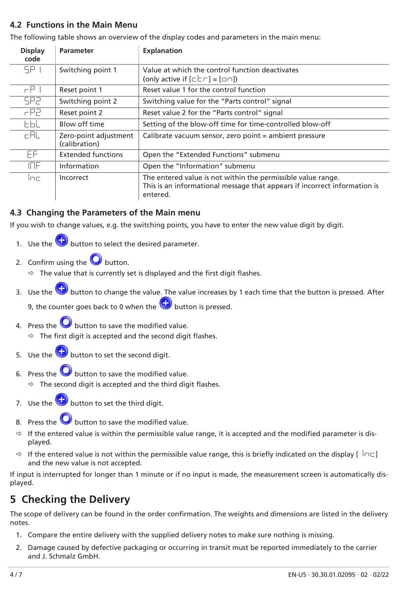#### **4.2 Functions in the Main Menu**

The following table shows an overview of the display codes and parameters in the main menu:

| <b>Display</b><br>code | <b>Parameter</b>                       | <b>Explanation</b>                                                                                                                                    |  |
|------------------------|----------------------------------------|-------------------------------------------------------------------------------------------------------------------------------------------------------|--|
| SP I                   | Switching point 1                      | Value at which the control function deactivates<br>(only active if $[\Box \Box \Box] = [\Box \Box]$ )                                                 |  |
| $\subset$ $\Box$       | Reset point 1                          | Reset value 1 for the control function                                                                                                                |  |
| SP2                    | Switching point 2                      | Switching value for the "Parts control" signal                                                                                                        |  |
| HP2.                   | Reset point 2                          | Reset value 2 for the "Parts control" signal                                                                                                          |  |
| EЫL                    | Blow off time                          | Setting of the blow-off time for time-controlled blow-off                                                                                             |  |
| cAL                    | Zero-point adjustment<br>(calibration) | Calibrate vacuum sensor, zero point = ambient pressure                                                                                                |  |
| ΕF                     | <b>Extended functions</b>              | Open the "Extended Functions" submenu                                                                                                                 |  |
| <b>INF</b>             | Information                            | Open the "Information" submenu                                                                                                                        |  |
| inni                   | Incorrect                              | The entered value is not within the permissible value range.<br>This is an informational message that appears if incorrect information is<br>entered. |  |

#### **4.3 Changing the Parameters of the Main menu**

If you wish to change values, e.g. the switching points, you have to enter the new value digit by digit.

- 1. Use the **b** button to select the desired parameter.
- 2. Confirm using the **button**.
	- $\Rightarrow$  The value that is currently set is displayed and the first digit flashes.
- 3. Use the **b** button to change the value. The value increases by 1 each time that the button is pressed. After

9, the counter goes back to 0 when the button is pressed.

4. Press the  $\bigcup$  button to save the modified value.

 $\Rightarrow$  The first digit is accepted and the second digit flashes.

- 5. Use the **b** button to set the second digit.
- 6. Press the  $\bigcirc$  button to save the modified value.
	- $\Rightarrow$  The second digit is accepted and the third digit flashes.
- 7. Use the **b** button to set the third digit.
- 8. Press the  $\bigcirc$  button to save the modified value.
- If the entered value is within the permissible value range, it is accepted and the modified parameter is displayed.
- $\Rightarrow$  If the entered value is not within the permissible value range, this is briefly indicated on the display  $\lceil \ln \zeta \rceil$ and the new value is not accepted.

If input is interrupted for longer than 1 minute or if no input is made, the measurement screen is automatically displayed.

# **5 Checking the Delivery**

The scope of delivery can be found in the order confirmation. The weights and dimensions are listed in the delivery notes.

- 1. Compare the entire delivery with the supplied delivery notes to make sure nothing is missing.
- 2. Damage caused by defective packaging or occurring in transit must be reported immediately to the carrier and J. Schmalz GmbH.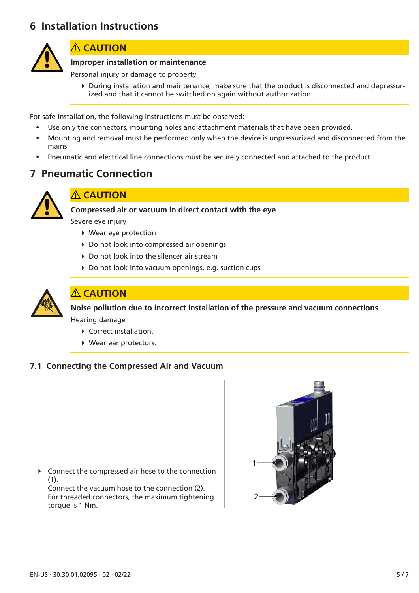# **6 Installation Instructions**



### **ACAUTION**

#### **Improper installation or maintenance**

Personal injury or damage to property

4 During installation and maintenance, make sure that the product is disconnected and depressurized and that it cannot be switched on again without authorization.

For safe installation, the following instructions must be observed:

- Use only the connectors, mounting holes and attachment materials that have been provided.
- Mounting and removal must be performed only when the device is unpressurized and disconnected from the mains.
- Pneumatic and electrical line connections must be securely connected and attached to the product.

# **7 Pneumatic Connection**



#### **CAUTION**

**Compressed air or vacuum in direct contact with the eye**

Severe eye injury

- 4 Wear eye protection
- ▶ Do not look into compressed air openings
- ▶ Do not look into the silencer air stream
- ▶ Do not look into vacuum openings, e.g. suction cups



### **CAUTION**

**Noise pollution due to incorrect installation of the pressure and vacuum connections** Hearing damage

- ▶ Correct installation.
- ▶ Wear ear protectors.

#### **7.1 Connecting the Compressed Air and Vacuum**

 $\triangleright$  Connect the compressed air hose to the connection (1). Connect the vacuum hose to the connection (2). For threaded connectors, the maximum tightening



torque is 1 Nm.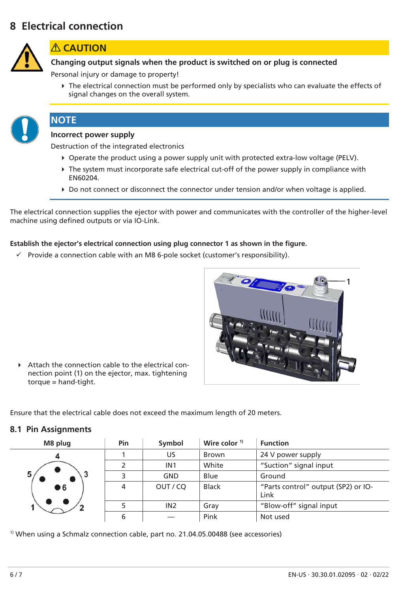# **8 Electrical connection**



#### **CAUTION**

**Changing output signals when the product is switched on or plug is connected**

Personal injury or damage to property!

4 The electrical connection must be performed only by specialists who can evaluate the effects of signal changes on the overall system.

# **NOTE**

### **Incorrect power supply**

Destruction of the integrated electronics

- ▶ Operate the product using a power supply unit with protected extra-low voltage (PELV).
- $\triangleright$  The system must incorporate safe electrical cut-off of the power supply in compliance with EN60204.
- ▶ Do not connect or disconnect the connector under tension and/or when voltage is applied.

The electrical connection supplies the ejector with power and communicates with the controller of the higher-level machine using defined outputs or via IO-Link.

#### **Establish the ejector's electrical connection using plug connector 1 as shown in the figure.**

 $\checkmark$  Provide a connection cable with an M8 6-pole socket (customer's responsibility).



4 Attach the connection cable to the electrical connection point (1) on the ejector, max. tightening torque = hand-tight.

Ensure that the electrical cable does not exceed the maximum length of 20 meters.

#### **8.1 Pin Assignments**

| M8 plug | Pin | Symbol          | Wire color $1$ <sup>1)</sup> | <b>Function</b>                             |
|---------|-----|-----------------|------------------------------|---------------------------------------------|
|         |     | US              | <b>Brown</b>                 | 24 V power supply                           |
|         |     | IN <sub>1</sub> | White                        | "Suction" signal input                      |
| 5       | 3   | <b>GND</b>      | Blue                         | Ground                                      |
| ● 6     | 4   | OUT / CQ        | <b>Black</b>                 | "Parts control" output (SP2) or IO-<br>Link |
|         |     | IN <sub>2</sub> | Gray                         | "Blow-off" signal input                     |
|         | 6   |                 | Pink                         | Not used                                    |

 $1)$  When using a Schmalz connection cable, part no. 21.04.05.00488 (see accessories)